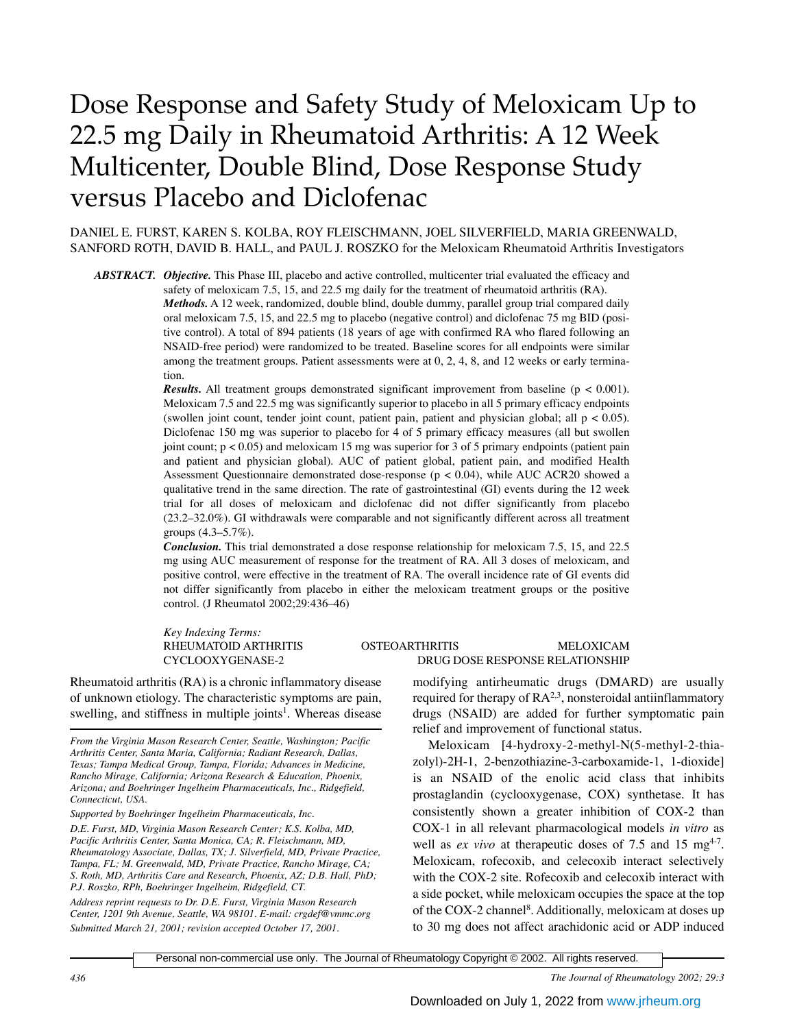# Dose Response and Safety Study of Meloxicam Up to 22.5 mg Daily in Rheumatoid Arthritis: A 12 Week Multicenter, Double Blind, Dose Response Study versus Placebo and Diclofenac

DANIEL E. FURST, KAREN S. KOLBA, ROY FLEISCHMANN, JOEL SILVERFIELD, MARIA GREENWALD, SANFORD ROTH, DAVID B. HALL, and PAUL J. ROSZKO for the Meloxicam Rheumatoid Arthritis Investigators

*ABSTRACT. Objective.* This Phase III, placebo and active controlled, multicenter trial evaluated the efficacy and

safety of meloxicam 7.5, 15, and 22.5 mg daily for the treatment of rheumatoid arthritis (RA). *Methods.* A 12 week, randomized, double blind, double dummy, parallel group trial compared daily oral meloxicam 7.5, 15, and 22.5 mg to placebo (negative control) and diclofenac 75 mg BID (positive control). A total of 894 patients (18 years of age with confirmed RA who flared following an NSAID-free period) were randomized to be treated. Baseline scores for all endpoints were similar among the treatment groups. Patient assessments were at 0, 2, 4, 8, and 12 weeks or early termination.

*Results.* All treatment groups demonstrated significant improvement from baseline (p < 0.001). Meloxicam 7.5 and 22.5 mg was significantly superior to placebo in all 5 primary efficacy endpoints (swollen joint count, tender joint count, patient pain, patient and physician global; all  $p < 0.05$ ). Diclofenac 150 mg was superior to placebo for 4 of 5 primary efficacy measures (all but swollen joint count;  $p < 0.05$ ) and meloxicam 15 mg was superior for 3 of 5 primary endpoints (patient pain and patient and physician global). AUC of patient global, patient pain, and modified Health Assessment Questionnaire demonstrated dose-response (p < 0.04), while AUC ACR20 showed a qualitative trend in the same direction. The rate of gastrointestinal (GI) events during the 12 week trial for all doses of meloxicam and diclofenac did not differ significantly from placebo (23.2–32.0%). GI withdrawals were comparable and not significantly different across all treatment groups (4.3–5.7%).

*Conclusion.* This trial demonstrated a dose response relationship for meloxicam 7.5, 15, and 22.5 mg using AUC measurement of response for the treatment of RA. All 3 doses of meloxicam, and positive control, were effective in the treatment of RA. The overall incidence rate of GI events did not differ significantly from placebo in either the meloxicam treatment groups or the positive control. (J Rheumatol 2002;29:436–46)

*Key Indexing Terms:*

Rheumatoid arthritis (RA) is a chronic inflammatory disease of unknown etiology. The characteristic symptoms are pain, swelling, and stiffness in multiple joints<sup>1</sup>. Whereas disease

*Supported by Boehringer Ingelheim Pharmaceuticals, Inc.*

*Address reprint requests to Dr. D.E. Furst, Virginia Mason Research Center, 1201 9th Avenue, Seattle, WA 98101. E-mail: crgdef@vmmc.org Submitted March 21, 2001; revision accepted October 17, 2001.*

# RHEUMATOID ARTHRITIS OSTEOARTHRITIS MELOXICAM CYCLOOXYGENASE-2 DRUG DOSE RESPONSE RELATIONSHIP

modifying antirheumatic drugs (DMARD) are usually required for therapy of  $RA^{2,3}$ , nonsteroidal antiinflammatory drugs (NSAID) are added for further symptomatic pain relief and improvement of functional status.

Meloxicam [4-hydroxy-2-methyl-N(5-methyl-2-thiazolyl)-2H-1, 2-benzothiazine-3-carboxamide-1, 1-dioxide] is an NSAID of the enolic acid class that inhibits prostaglandin (cyclooxygenase, COX) synthetase. It has consistently shown a greater inhibition of COX-2 than COX-1 in all relevant pharmacological models *in vitro* as well as *ex vivo* at therapeutic doses of 7.5 and 15 mg<sup>4-7</sup>. Meloxicam, rofecoxib, and celecoxib interact selectively with the COX-2 site. Rofecoxib and celecoxib interact with a side pocket, while meloxicam occupies the space at the top of the COX-2 channel<sup>8</sup>. Additionally, meloxicam at doses up to 30 mg does not affect arachidonic acid or ADP induced

Personal non-commercial use only. The Journal of Rheumatology Copyright © 2002. All rights reserved.

*436 The Journal of Rheumatology 2002; 29:3*

*From the Virginia Mason Research Center, Seattle, Washington; Pacific Arthritis Center, Santa Maria, California; Radiant Research, Dallas, Texas; Tampa Medical Group, Tampa, Florida; Advances in Medicine, Rancho Mirage, California; Arizona Research & Education, Phoenix, Arizona; and Boehringer Ingelheim Pharmaceuticals, Inc., Ridgefield, Connecticut, USA.* 

*D.E. Furst, MD, Virginia Mason Research Center; K.S. Kolba, MD, Pacific Arthritis Center, Santa Monica, CA; R. Fleischmann, MD, Rheumatology Associate, Dallas, TX; J. Silverfield, MD, Private Practice, Tampa, FL; M. Greenwald, MD, Private Practice, Rancho Mirage, CA; S. Roth, MD, Arthritis Care and Research, Phoenix, AZ; D.B. Hall, PhD; P.J. Roszko, RPh, Boehringer Ingelheim, Ridgefield, CT.*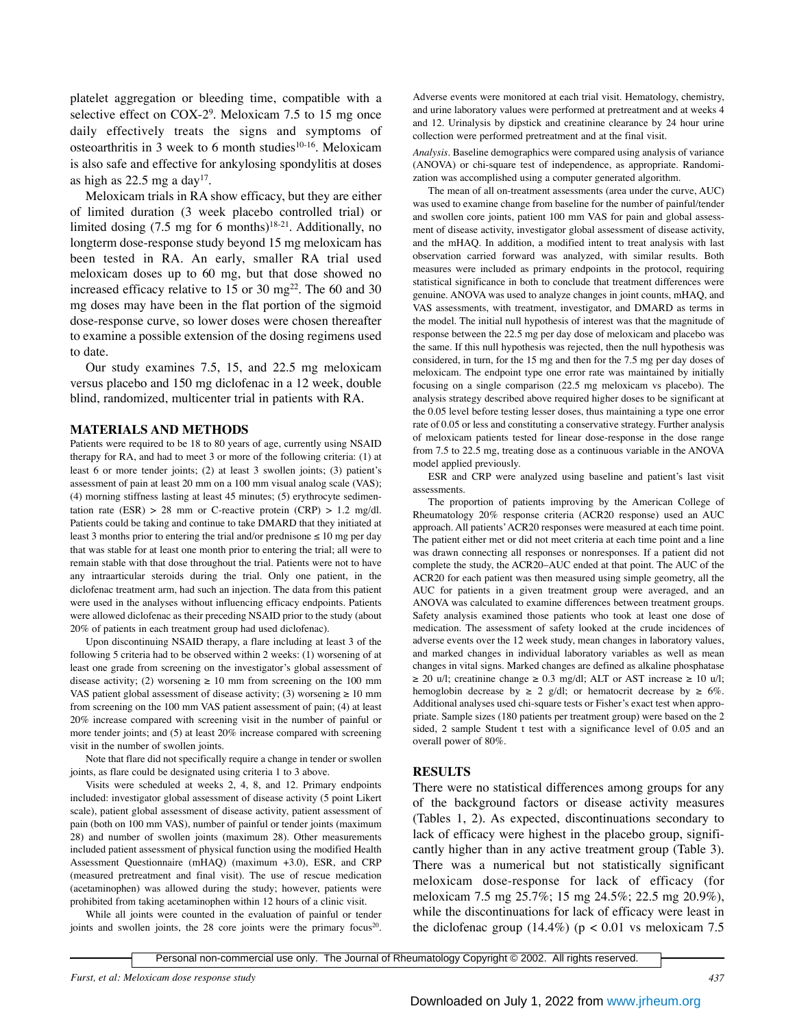platelet aggregation or bleeding time, compatible with a selective effect on COX-2<sup>9</sup>. Meloxicam 7.5 to 15 mg once daily effectively treats the signs and symptoms of osteoarthritis in 3 week to 6 month studies $10-16$ . Meloxicam is also safe and effective for ankylosing spondylitis at doses as high as  $22.5$  mg a day<sup>17</sup>.

Meloxicam trials in RA show efficacy, but they are either of limited duration (3 week placebo controlled trial) or limited dosing  $(7.5 \text{ mg}$  for 6 months)<sup>18-21</sup>. Additionally, no longterm dose-response study beyond 15 mg meloxicam has been tested in RA. An early, smaller RA trial used meloxicam doses up to 60 mg, but that dose showed no increased efficacy relative to 15 or 30 mg<sup>22</sup>. The 60 and 30 mg doses may have been in the flat portion of the sigmoid dose-response curve, so lower doses were chosen thereafter to examine a possible extension of the dosing regimens used to date.

Our study examines 7.5, 15, and 22.5 mg meloxicam versus placebo and 150 mg diclofenac in a 12 week, double blind, randomized, multicenter trial in patients with RA.

### **MATERIALS AND METHODS**

Patients were required to be 18 to 80 years of age, currently using NSAID therapy for RA, and had to meet 3 or more of the following criteria: (1) at least 6 or more tender joints; (2) at least 3 swollen joints; (3) patient's assessment of pain at least 20 mm on a 100 mm visual analog scale (VAS); (4) morning stiffness lasting at least 45 minutes; (5) erythrocyte sedimentation rate  $(ESR) > 28$  mm or C-reactive protein  $(CRP) > 1.2$  mg/dl. Patients could be taking and continue to take DMARD that they initiated at least 3 months prior to entering the trial and/or prednisone  $\leq 10$  mg per day that was stable for at least one month prior to entering the trial; all were to remain stable with that dose throughout the trial. Patients were not to have any intraarticular steroids during the trial. Only one patient, in the diclofenac treatment arm, had such an injection. The data from this patient were used in the analyses without influencing efficacy endpoints. Patients were allowed diclofenac as their preceding NSAID prior to the study (about 20% of patients in each treatment group had used diclofenac).

Upon discontinuing NSAID therapy, a flare including at least 3 of the following 5 criteria had to be observed within 2 weeks: (1) worsening of at least one grade from screening on the investigator's global assessment of disease activity; (2) worsening  $\geq 10$  mm from screening on the 100 mm VAS patient global assessment of disease activity; (3) worsening  $\geq 10$  mm from screening on the 100 mm VAS patient assessment of pain; (4) at least 20% increase compared with screening visit in the number of painful or more tender joints; and (5) at least 20% increase compared with screening visit in the number of swollen joints.

Note that flare did not specifically require a change in tender or swollen joints, as flare could be designated using criteria 1 to 3 above.

Visits were scheduled at weeks 2, 4, 8, and 12. Primary endpoints included: investigator global assessment of disease activity (5 point Likert scale), patient global assessment of disease activity, patient assessment of pain (both on 100 mm VAS), number of painful or tender joints (maximum 28) and number of swollen joints (maximum 28). Other measurements included patient assessment of physical function using the modified Health Assessment Questionnaire (mHAQ) (maximum +3.0), ESR, and CRP (measured pretreatment and final visit). The use of rescue medication (acetaminophen) was allowed during the study; however, patients were prohibited from taking acetaminophen within 12 hours of a clinic visit.

While all joints were counted in the evaluation of painful or tender joints and swollen joints, the 28 core joints were the primary focus<sup>20</sup>.

Adverse events were monitored at each trial visit. Hematology, chemistry, and urine laboratory values were performed at pretreatment and at weeks 4 and 12. Urinalysis by dipstick and creatinine clearance by 24 hour urine collection were performed pretreatment and at the final visit.

*Analysis.* Baseline demographics were compared using analysis of variance (ANOVA) or chi-square test of independence, as appropriate. Randomization was accomplished using a computer generated algorithm.

The mean of all on-treatment assessments (area under the curve, AUC) was used to examine change from baseline for the number of painful/tender and swollen core joints, patient 100 mm VAS for pain and global assessment of disease activity, investigator global assessment of disease activity, and the mHAQ. In addition, a modified intent to treat analysis with last observation carried forward was analyzed, with similar results. Both measures were included as primary endpoints in the protocol, requiring statistical significance in both to conclude that treatment differences were genuine. ANOVA was used to analyze changes in joint counts, mHAQ, and VAS assessments, with treatment, investigator, and DMARD as terms in the model. The initial null hypothesis of interest was that the magnitude of response between the 22.5 mg per day dose of meloxicam and placebo was the same. If this null hypothesis was rejected, then the null hypothesis was considered, in turn, for the 15 mg and then for the 7.5 mg per day doses of meloxicam. The endpoint type one error rate was maintained by initially focusing on a single comparison (22.5 mg meloxicam vs placebo). The analysis strategy described above required higher doses to be significant at the 0.05 level before testing lesser doses, thus maintaining a type one error rate of 0.05 or less and constituting a conservative strategy. Further analysis of meloxicam patients tested for linear dose-response in the dose range from 7.5 to 22.5 mg, treating dose as a continuous variable in the ANOVA model applied previously.

ESR and CRP were analyzed using baseline and patient's last visit assessments.

The proportion of patients improving by the American College of Rheumatology 20% response criteria (ACR20 response) used an AUC approach. All patients'ACR20 responses were measured at each time point. The patient either met or did not meet criteria at each time point and a line was drawn connecting all responses or nonresponses. If a patient did not complete the study, the ACR20–AUC ended at that point. The AUC of the ACR20 for each patient was then measured using simple geometry, all the AUC for patients in a given treatment group were averaged, and an ANOVA was calculated to examine differences between treatment groups. Safety analysis examined those patients who took at least one dose of medication. The assessment of safety looked at the crude incidences of adverse events over the 12 week study, mean changes in laboratory values, and marked changes in individual laboratory variables as well as mean changes in vital signs. Marked changes are defined as alkaline phosphatase  $\geq$  20 u/l; creatinine change  $\geq$  0.3 mg/dl; ALT or AST increase  $\geq$  10 u/l; hemoglobin decrease by  $\geq 2$  g/dl; or hematocrit decrease by  $\geq 6\%$ . Additional analyses used chi-square tests or Fisher's exact test when appropriate. Sample sizes (180 patients per treatment group) were based on the 2 sided, 2 sample Student t test with a significance level of 0.05 and an overall power of 80%.

## **RESULTS**

There were no statistical differences among groups for any of the background factors or disease activity measures (Tables 1, 2). As expected, discontinuations secondary to lack of efficacy were highest in the placebo group, significantly higher than in any active treatment group (Table 3). There was a numerical but not statistically significant meloxicam dose-response for lack of efficacy (for meloxicam 7.5 mg 25.7%; 15 mg 24.5%; 22.5 mg 20.9%), while the discontinuations for lack of efficacy were least in the diclofenac group  $(14.4\%)$  (p < 0.01 vs meloxicam 7.5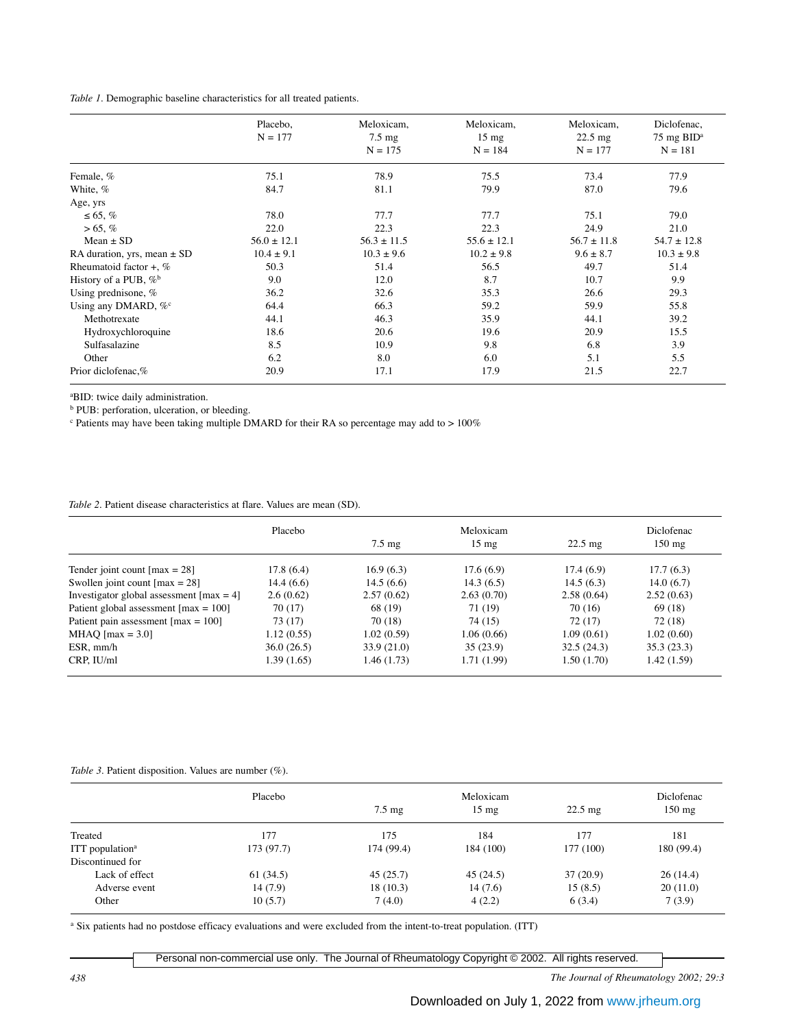| Table 1. Demographic baseline characteristics for all treated patients. |  |  |
|-------------------------------------------------------------------------|--|--|
|-------------------------------------------------------------------------|--|--|

|                                 | Placebo,        | Meloxicam,       | Meloxicam,      | Meloxicam,        | Diclofenac,                       |
|---------------------------------|-----------------|------------------|-----------------|-------------------|-----------------------------------|
|                                 | $N = 177$       | $7.5 \text{ mg}$ | $15 \text{ mg}$ | $22.5 \text{ mg}$ | $75 \text{ mg }$ BID <sup>a</sup> |
|                                 |                 | $N = 175$        | $N = 184$       | $N = 177$         | $N = 181$                         |
| Female, %                       | 75.1            | 78.9             | 75.5            | 73.4              | 77.9                              |
| White, %                        | 84.7            | 81.1             | 79.9            | 87.0              | 79.6                              |
| Age, yrs                        |                 |                  |                 |                   |                                   |
| $\leq 65, \%$                   | 78.0            | 77.7             | 77.7            | 75.1              | 79.0                              |
| $> 65, \%$                      | 22.0            | 22.3             | 22.3            | 24.9              | 21.0                              |
| $Mean \pm SD$                   | $56.0 \pm 12.1$ | $56.3 \pm 11.5$  | $55.6 \pm 12.1$ | $56.7 \pm 11.8$   | $54.7 \pm 12.8$                   |
| RA duration, yrs, mean $\pm$ SD | $10.4 \pm 9.1$  | $10.3 \pm 9.6$   | $10.2 \pm 9.8$  | $9.6 \pm 8.7$     | $10.3 \pm 9.8$                    |
| Rheumatoid factor $+$ , %       | 50.3            | 51.4             | 56.5            | 49.7              | 51.4                              |
| History of a PUB, $\%^b$        | 9.0             | 12.0             | 8.7             | 10.7              | 9.9                               |
| Using prednisone, %             | 36.2            | 32.6             | 35.3            | 26.6              | 29.3                              |
| Using any DMARD, %°             | 64.4            | 66.3             | 59.2            | 59.9              | 55.8                              |
| Methotrexate                    | 44.1            | 46.3             | 35.9            | 44.1              | 39.2                              |
| Hydroxychloroquine              | 18.6            | 20.6             | 19.6            | 20.9              | 15.5                              |
| Sulfasalazine                   | 8.5             | 10.9             | 9.8             | 6.8               | 3.9                               |
| Other                           | 6.2             | 8.0              | 6.0             | 5.1               | 5.5                               |
| Prior diclofenac,%              | 20.9            | 17.1             | 17.9            | 21.5              | 22.7                              |

a BID: twice daily administration.

**b** PUB: perforation, ulceration, or bleeding.

<sup>c</sup> Patients may have been taking multiple DMARD for their RA so percentage may add to > 100%

## *Table 2.* Patient disease characteristics at flare. Values are mean (SD).

|                                                         | Placebo     | Meloxicam        |                 |                   | Diclofenac       |
|---------------------------------------------------------|-------------|------------------|-----------------|-------------------|------------------|
|                                                         |             | $7.5 \text{ mg}$ | $15 \text{ mg}$ | $22.5 \text{ mg}$ | $150 \text{ mg}$ |
| Tender joint count $\text{[max]} = 28$                  | 17.8(6.4)   | 16.9(6.3)        | 17.6(6.9)       | 17.4(6.9)         | 17.7(6.3)        |
| Swollen joint count $\lceil \max = 28 \rceil$           | 14.4(6.6)   | 14.5(6.6)        | 14.3(6.5)       | 14.5(6.3)         | 14.0(6.7)        |
| Investigator global assessment $\lceil \max = 4 \rceil$ | 2.6(0.62)   | 2.57(0.62)       | 2.63(0.70)      | 2.58(0.64)        | 2.52(0.63)       |
| Patient global assessment $\text{[max]} = 100$          | 70 (17)     | 68 (19)          | 71 (19)         | 70 (16)           | 69 (18)          |
| Patient pain assessment $\text{[max]} = 100$            | 73 (17)     | 70 (18)          | 74 (15)         | 72 (17)           | 72 (18)          |
| MHAQ $\left[\max = 3.0\right]$                          | 1.12(0.55)  | 1.02(0.59)       | 1.06(0.66)      | 1.09(0.61)        | 1.02(0.60)       |
| ESR, mm/h                                               | 36.0(26.5)  | 33.9 (21.0)      | 35(23.9)        | 32.5(24.3)        | 35.3(23.3)       |
| CRP, IU/ml                                              | 1.39 (1.65) | 1.46 (1.73)      | 1.71 (1.99)     | 1.50 (1.70)       | 1.42(1.59)       |

## *Table 3.* Patient disposition. Values are number (%).

|                             | Placebo   |                  | Meloxicam       |                   |                                |  |
|-----------------------------|-----------|------------------|-----------------|-------------------|--------------------------------|--|
|                             |           | $7.5 \text{ mg}$ | $15 \text{ mg}$ | $22.5 \text{ mg}$ | Diclofenac<br>$150 \text{ mg}$ |  |
| Treated                     | 177       | 175              | 184             | 177               | 181                            |  |
| ITT population <sup>a</sup> | 173(97.7) | 174 (99.4)       | 184(100)        | 177 (100)         | 180 (99.4)                     |  |
| Discontinued for            |           |                  |                 |                   |                                |  |
| Lack of effect              | 61(34.5)  | 45(25.7)         | 45(24.5)        | 37(20.9)          | 26(14.4)                       |  |
| Adverse event               | 14(7.9)   | 18(10.3)         | 14(7.6)         | 15(8.5)           | 20(11.0)                       |  |
| Other                       | 10(5.7)   | 7(4.0)           | 4(2.2)          | 6(3.4)            | 7(3.9)                         |  |

<sup>a</sup> Six patients had no postdose efficacy evaluations and were excluded from the intent-to-treat population. (ITT)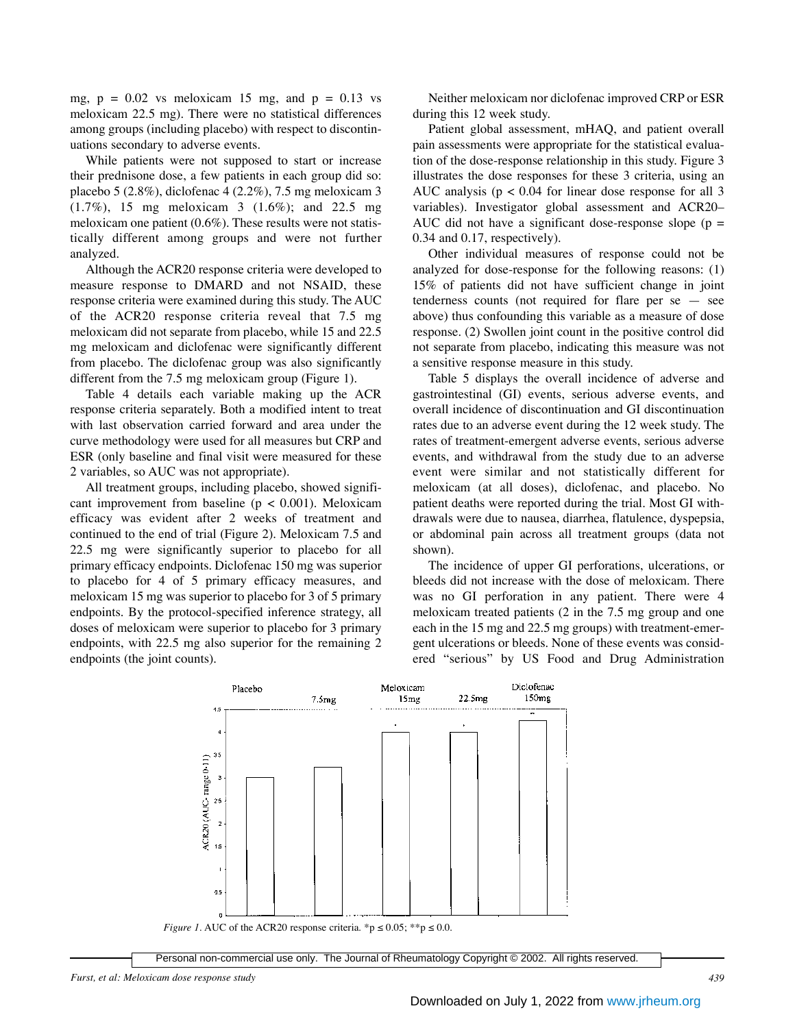mg,  $p = 0.02$  vs meloxicam 15 mg, and  $p = 0.13$  vs meloxicam 22.5 mg). There were no statistical differences among groups (including placebo) with respect to discontinuations secondary to adverse events.

While patients were not supposed to start or increase their prednisone dose, a few patients in each group did so: placebo 5 (2.8%), diclofenac 4 (2.2%), 7.5 mg meloxicam 3 (1.7%), 15 mg meloxicam 3 (1.6%); and 22.5 mg meloxicam one patient (0.6%). These results were not statistically different among groups and were not further analyzed.

Although the ACR20 response criteria were developed to measure response to DMARD and not NSAID, these response criteria were examined during this study. The AUC of the ACR20 response criteria reveal that 7.5 mg meloxicam did not separate from placebo, while 15 and 22.5 mg meloxicam and diclofenac were significantly different from placebo. The diclofenac group was also significantly different from the 7.5 mg meloxicam group (Figure 1).

Table 4 details each variable making up the ACR response criteria separately. Both a modified intent to treat with last observation carried forward and area under the curve methodology were used for all measures but CRP and ESR (only baseline and final visit were measured for these 2 variables, so AUC was not appropriate).

All treatment groups, including placebo, showed significant improvement from baseline ( $p < 0.001$ ). Meloxicam efficacy was evident after 2 weeks of treatment and continued to the end of trial (Figure 2). Meloxicam 7.5 and 22.5 mg were significantly superior to placebo for all primary efficacy endpoints. Diclofenac 150 mg was superior to placebo for 4 of 5 primary efficacy measures, and meloxicam 15 mg was superior to placebo for 3 of 5 primary endpoints. By the protocol-specified inference strategy, all doses of meloxicam were superior to placebo for 3 primary endpoints, with 22.5 mg also superior for the remaining 2 endpoints (the joint counts).

Neither meloxicam nor diclofenac improved CRP or ESR during this 12 week study.

Patient global assessment, mHAQ, and patient overall pain assessments were appropriate for the statistical evaluation of the dose-response relationship in this study. Figure 3 illustrates the dose responses for these 3 criteria, using an AUC analysis ( $p < 0.04$  for linear dose response for all 3 variables). Investigator global assessment and ACR20– AUC did not have a significant dose-response slope ( $p =$ 0.34 and 0.17, respectively).

Other individual measures of response could not be analyzed for dose-response for the following reasons: (1) 15% of patients did not have sufficient change in joint tenderness counts (not required for flare per  $se$  — see above) thus confounding this variable as a measure of dose response. (2) Swollen joint count in the positive control did not separate from placebo, indicating this measure was not a sensitive response measure in this study.

Table 5 displays the overall incidence of adverse and gastrointestinal (GI) events, serious adverse events, and overall incidence of discontinuation and GI discontinuation rates due to an adverse event during the 12 week study. The rates of treatment-emergent adverse events, serious adverse events, and withdrawal from the study due to an adverse event were similar and not statistically different for meloxicam (at all doses), diclofenac, and placebo. No patient deaths were reported during the trial. Most GI withdrawals were due to nausea, diarrhea, flatulence, dyspepsia, or abdominal pain across all treatment groups (data not shown).

The incidence of upper GI perforations, ulcerations, or bleeds did not increase with the dose of meloxicam. There was no GI perforation in any patient. There were 4 meloxicam treated patients (2 in the 7.5 mg group and one each in the 15 mg and 22.5 mg groups) with treatment-emergent ulcerations or bleeds. None of these events was considered "serious" by US Food and Drug Administration



*Furst, et al: Meloxicam dose response study 439*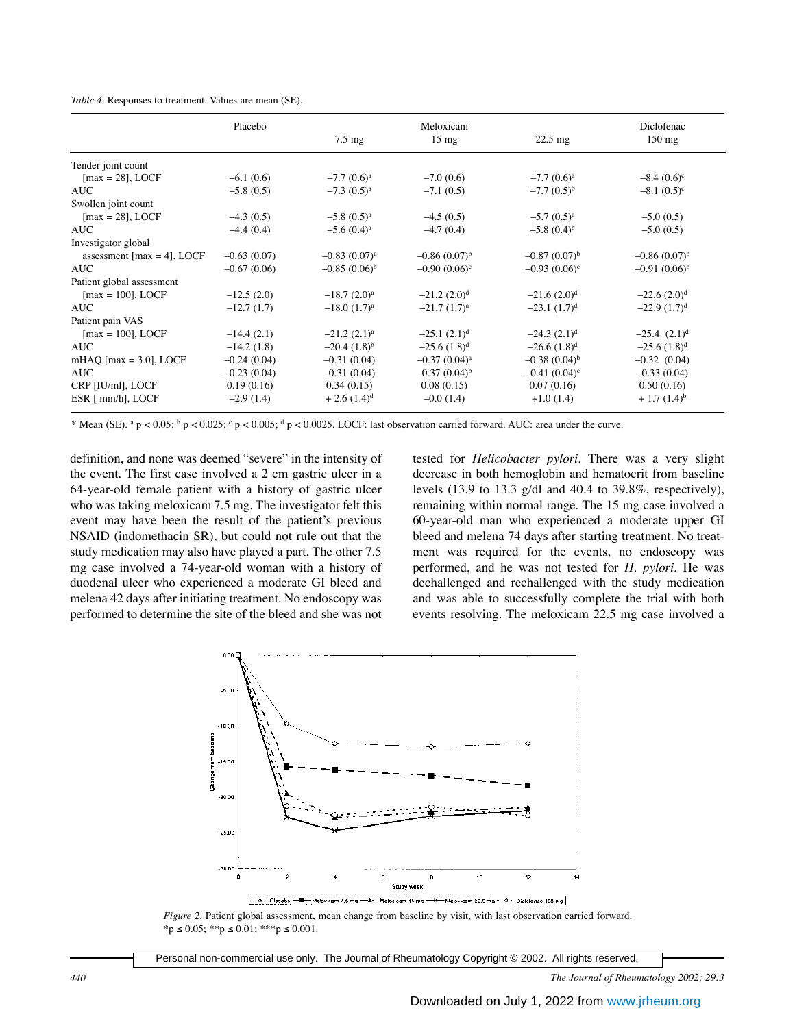| Table 4. Responses to treatment. Values are mean (SE). |  |  |
|--------------------------------------------------------|--|--|
|--------------------------------------------------------|--|--|

|                                        | Placebo       |                   | Meloxicam         |                          | Diclofenac        |
|----------------------------------------|---------------|-------------------|-------------------|--------------------------|-------------------|
|                                        |               | $7.5 \text{ mg}$  | $15 \text{ mg}$   | $22.5 \text{ mg}$        | $150$ mg          |
| Tender joint count                     |               |                   |                   |                          |                   |
| $\text{[max} = 28$ , LOCF              | $-6.1(0.6)$   | $-7.7(0.6)^a$     | $-7.0(0.6)$       | $-7.7(0.6)^a$            | $-8.4(0.6)^c$     |
| AUC                                    | $-5.8(0.5)$   | $-7.3(0.5)^a$     | $-7.1(0.5)$       | $-7.7(0.5)^{b}$          | $-8.1(0.5)^c$     |
| Swollen joint count                    |               |                   |                   |                          |                   |
| $\text{[max} = 28$ , LOCF              | $-4.3(0.5)$   | $-5.8(0.5)^a$     | $-4.5(0.5)$       | $-5.7(0.5)^a$            | $-5.0(0.5)$       |
| <b>AUC</b>                             | $-4.4(0.4)$   | $-5.6(0.4)^a$     | $-4.7(0.4)$       | $-5.8(0.4)$ <sup>b</sup> | $-5.0(0.5)$       |
| Investigator global                    |               |                   |                   |                          |                   |
| assessment $\text{[max = 4]}$ , LOCF   | $-0.63(0.07)$ | $-0.83(0.07)^a$   | $-0.86(0.07)^{b}$ | $-0.87(0.07)^{b}$        | $-0.86(0.07)^{b}$ |
| <b>AUC</b>                             | $-0.67(0.06)$ | $-0.85(0.06)^{b}$ | $-0.90(0.06)^c$   | $-0.93(0.06)^c$          | $-0.91(0.06)^{b}$ |
| Patient global assessment              |               |                   |                   |                          |                   |
| $\text{[max} = 100$ , LOCF             | $-12.5(2.0)$  | $-18.7(2.0)^a$    | $-21.2$ $(2.0)^d$ | $-21.6$ $(2.0)^d$        | $-22.6$ $(2.0)^d$ |
| AUC-                                   | $-12.7(1.7)$  | $-18.0$ $(1.7)^a$ | $-21.7(1.7)^a$    | $-23.1(1.7)^d$           | $-22.9(1.7)d$     |
| Patient pain VAS                       |               |                   |                   |                          |                   |
| $\text{[max} = 100$ , LOCF             | $-14.4(2.1)$  | $-21.2 (2.1)^a$   | $-25.1(2.1)d$     | $-24.3(2.1)d$            | $-25.4$ $(2.1)^d$ |
| <b>AUC</b>                             | $-14.2(1.8)$  | $-20.4(1.8)^{b}$  | $-25.6$ $(1.8)^d$ | $-26.6$ $(1.8)^d$        | $-25.6$ $(1.8)^d$ |
| mHAQ $\text{[max} = 3.0\text{], LOCF}$ | $-0.24(0.04)$ | $-0.31(0.04)$     | $-0.37(0.04)^a$   | $-0.38(0.04)^{b}$        | $-0.32(0.04)$     |
| <b>AUC</b>                             | $-0.23(0.04)$ | $-0.31(0.04)$     | $-0.37(0.04)^{b}$ | $-0.41(0.04)^c$          | $-0.33(0.04)$     |
| CRP [IU/ml], LOCF                      | 0.19(0.16)    | 0.34(0.15)        | 0.08(0.15)        | 0.07(0.16)               | 0.50(0.16)        |
| ESR [ mm/h], LOCF                      | $-2.9(1.4)$   | $+2.6(1.4)^d$     | $-0.0(1.4)$       | $+1.0(1.4)$              | $+1.7(1.4)^{b}$   |

\* Mean (SE). <sup>a</sup> p < 0.05; <sup>b</sup> p < 0.025; c p < 0.005; d p < 0.0025. LOCF: last observation carried forward. AUC: area under the curve.

definition, and none was deemed "severe" in the intensity of the event. The first case involved a 2 cm gastric ulcer in a 64-year-old female patient with a history of gastric ulcer who was taking meloxicam 7.5 mg. The investigator felt this event may have been the result of the patient's previous NSAID (indomethacin SR), but could not rule out that the study medication may also have played a part. The other 7.5 mg case involved a 74-year-old woman with a history of duodenal ulcer who experienced a moderate GI bleed and melena 42 days after initiating treatment. No endoscopy was performed to determine the site of the bleed and she was not tested for *Helicobacter pylori*. There was a very slight decrease in both hemoglobin and hematocrit from baseline levels (13.9 to 13.3 g/dl and 40.4 to 39.8%, respectively), remaining within normal range. The 15 mg case involved a 60-year-old man who experienced a moderate upper GI bleed and melena 74 days after starting treatment. No treatment was required for the events, no endoscopy was performed, and he was not tested for *H. pylori*. He was dechallenged and rechallenged with the study medication and was able to successfully complete the trial with both events resolving. The meloxicam 22.5 mg case involved a



*Figure 2.* Patient global assessment, mean change from baseline by visit, with last observation carried forward.  $*_{p} \leq 0.05;$   $*_{p} \leq 0.01;$   $*_{p} \leq 0.001.$ 

Personal non-commercial use only. The Journal of Rheumatology Copyright © 2002. All rights reserved.

*440 The Journal of Rheumatology 2002; 29:3*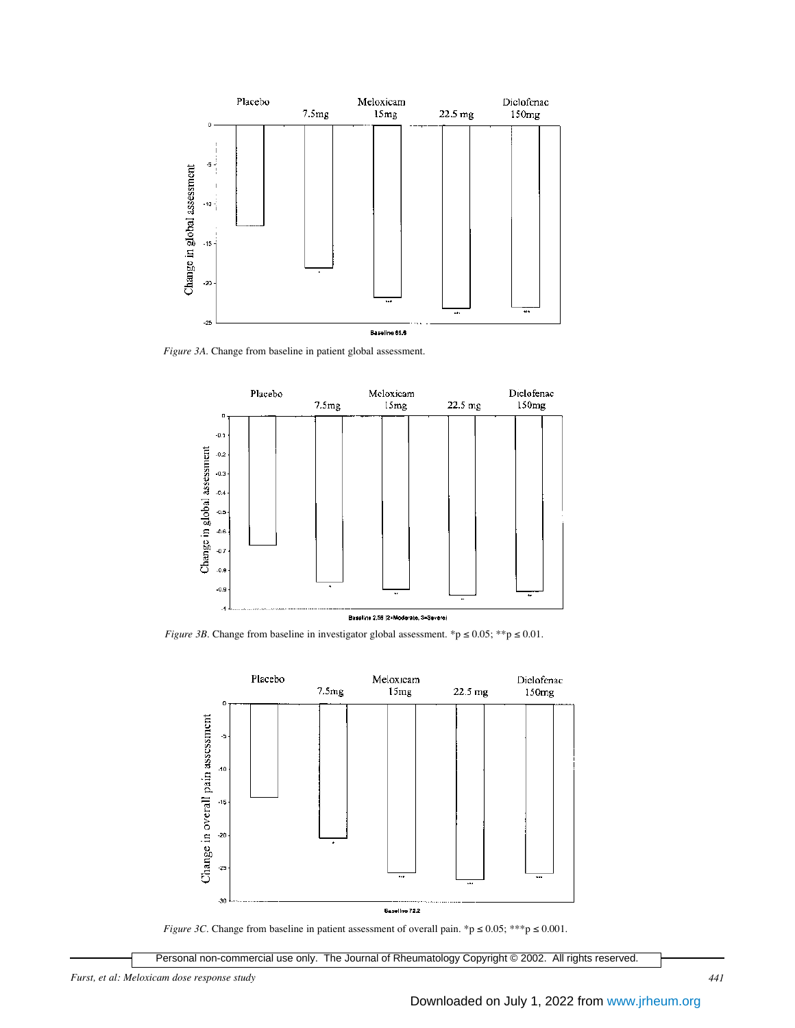

*Figure 3A.* Change from baseline in patient global assessment.



*Figure 3B.* Change from baseline in investigator global assessment. \*p  $\leq 0.05$ ; \*\*p  $\leq 0.01$ .



*Figure 3C.* Change from baseline in patient assessment of overall pain. \*p  $\leq 0.05$ ; \*\*\*p  $\leq 0.001$ .

Personal non-commercial use only. The Journal of Rheumatology Copyright © 2002. All rights reserved.

*Furst, et al: Meloxicam dose response study 441*

Downloaded on July 1, 2022 from [www.jrheum.org](http://www.jrheum.org/)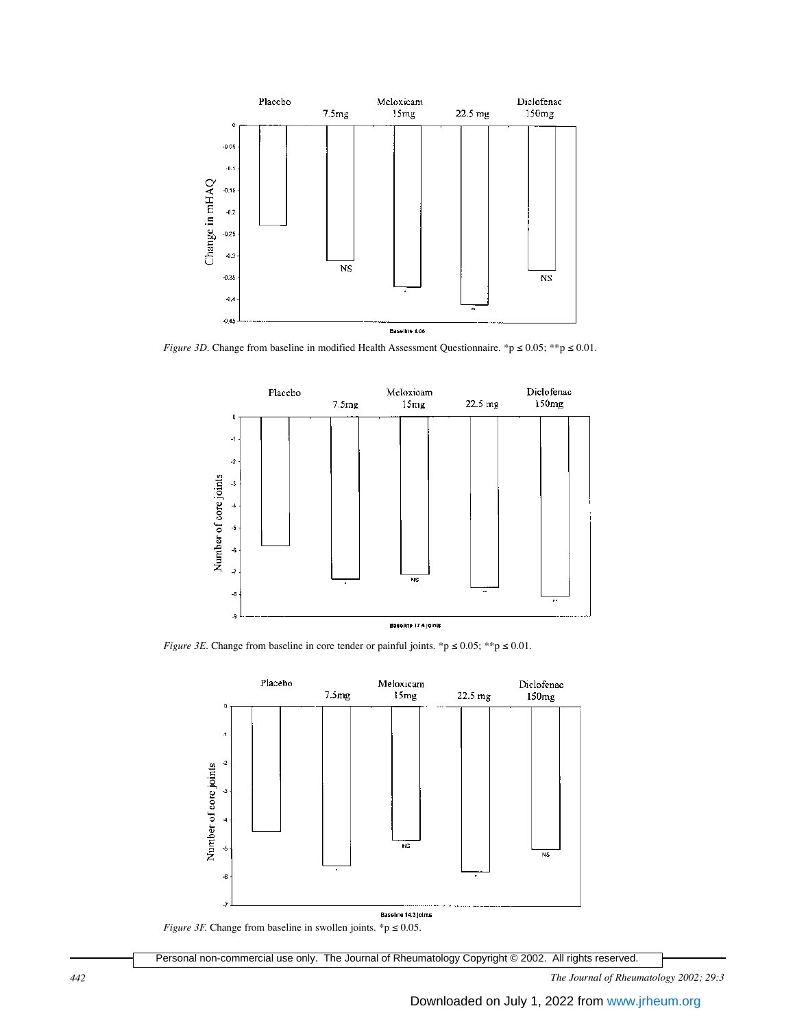

*Figure 3D.* Change from baseline in modified Health Assessment Questionnaire. \*p ≤ 0.05; \*\*p ≤ 0.01.



*Figure 3E.* Change from baseline in core tender or painful joints. \*p  $\leq 0.05$ ; \*\*p  $\leq 0.01$ .



*Figure 3F.* Change from baseline in swollen joints. \*p  $\leq 0.05$ .

Personal non-commercial use only. The Journal of Rheumatology Copyright © 2002. All rights reserved.

*442 The Journal of Rheumatology 2002; 29:3*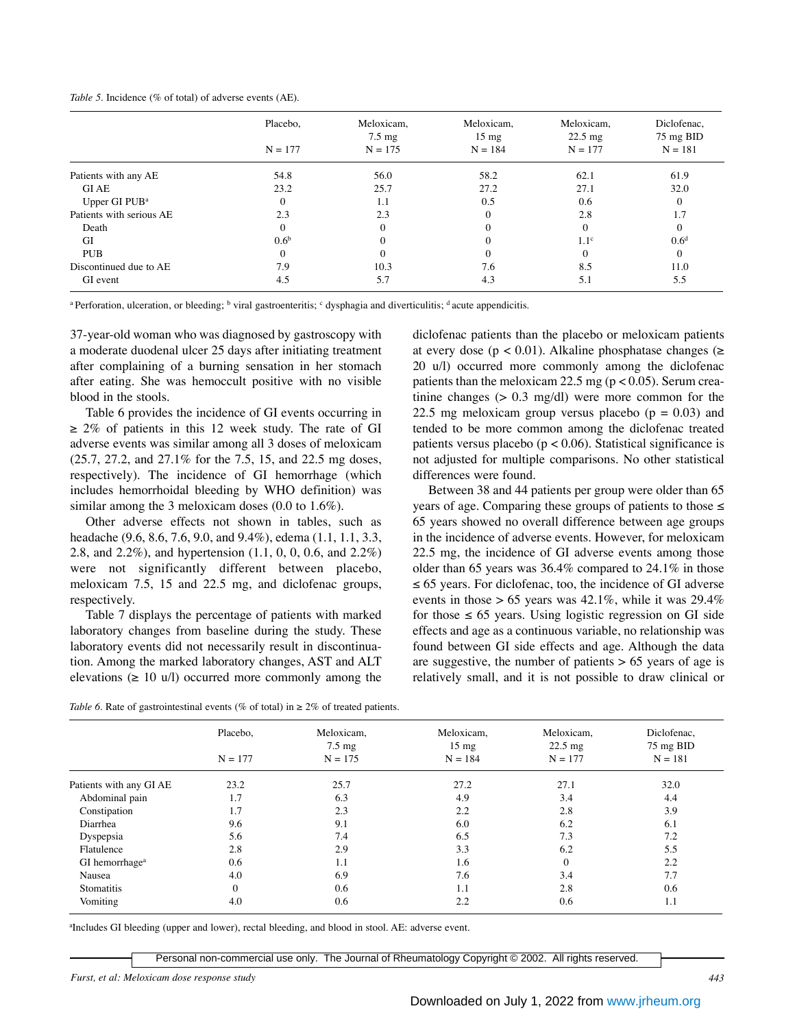|  | Table 5. Incidence (% of total) of adverse events (AE). |  |  |  |  |  |
|--|---------------------------------------------------------|--|--|--|--|--|
|--|---------------------------------------------------------|--|--|--|--|--|

|                           | Placebo,         | Meloxicam,<br>$7.5 \text{ mg}$ | Meloxicam,<br>$15 \text{ mg}$ | Meloxicam,<br>$22.5 \text{ mg}$ | Diclofenac,<br>75 mg BID |
|---------------------------|------------------|--------------------------------|-------------------------------|---------------------------------|--------------------------|
|                           | $N = 177$        | $N = 175$                      | $N = 184$                     | $N = 177$                       | $N = 181$                |
| Patients with any AE      | 54.8             | 56.0                           | 58.2                          | 62.1                            | 61.9                     |
| <b>GIAE</b>               | 23.2             | 25.7                           | 27.2                          | 27.1                            | 32.0                     |
| Upper GI PUB <sup>a</sup> | $\mathbf{0}$     | 1.1                            | 0.5                           | 0.6                             | $\theta$                 |
| Patients with serious AE  | 2.3              | 2.3                            |                               | 2.8                             | 1.7                      |
| Death                     | $\theta$         | $\Omega$                       |                               |                                 | $\theta$                 |
| GI                        | 0.6 <sup>b</sup> |                                |                               | 1.1 <sup>c</sup>                | 0.6 <sup>d</sup>         |
| <b>PUB</b>                | $\Omega$         |                                |                               |                                 | $\Omega$                 |
| Discontinued due to AE    | 7.9              | 10.3                           | 7.6                           | 8.5                             | 11.0                     |
| GI event                  | 4.5              | 5.7                            | 4.3                           | 5.1                             | 5.5                      |

<sup>a</sup> Perforation, ulceration, or bleeding; <sup>b</sup> viral gastroenteritis; c dysphagia and diverticulitis; d acute appendicitis.

37-year-old woman who was diagnosed by gastroscopy with a moderate duodenal ulcer 25 days after initiating treatment after complaining of a burning sensation in her stomach after eating. She was hemoccult positive with no visible blood in the stools.

Table 6 provides the incidence of GI events occurring in  $\geq$  2% of patients in this 12 week study. The rate of GI adverse events was similar among all 3 doses of meloxicam (25.7, 27.2, and 27.1% for the 7.5, 15, and 22.5 mg doses, respectively). The incidence of GI hemorrhage (which includes hemorrhoidal bleeding by WHO definition) was similar among the 3 meloxicam doses (0.0 to 1.6%).

Other adverse effects not shown in tables, such as headache (9.6, 8.6, 7.6, 9.0, and 9.4%), edema (1.1, 1.1, 3.3, 2.8, and 2.2%), and hypertension (1.1, 0, 0, 0.6, and 2.2%) were not significantly different between placebo, meloxicam 7.5, 15 and 22.5 mg, and diclofenac groups, respectively.

Table 7 displays the percentage of patients with marked laboratory changes from baseline during the study. These laboratory events did not necessarily result in discontinuation. Among the marked laboratory changes, AST and ALT elevations ( $\geq 10 \text{ u/l}$ ) occurred more commonly among the

diclofenac patients than the placebo or meloxicam patients at every dose ( $p < 0.01$ ). Alkaline phosphatase changes ( $\ge$ 20 u/l) occurred more commonly among the diclofenac patients than the meloxicam 22.5 mg ( $p < 0.05$ ). Serum creatinine changes  $(> 0.3 \text{ mg/dl})$  were more common for the 22.5 mg meloxicam group versus placebo  $(p = 0.03)$  and tended to be more common among the diclofenac treated patients versus placebo ( $p < 0.06$ ). Statistical significance is not adjusted for multiple comparisons. No other statistical differences were found.

Between 38 and 44 patients per group were older than 65 years of age. Comparing these groups of patients to those  $\leq$ 65 years showed no overall difference between age groups in the incidence of adverse events. However, for meloxicam 22.5 mg, the incidence of GI adverse events among those older than 65 years was 36.4% compared to 24.1% in those ≤ 65 years. For diclofenac, too, the incidence of GI adverse events in those  $> 65$  years was 42.1%, while it was 29.4% for those  $\leq 65$  years. Using logistic regression on GI side effects and age as a continuous variable, no relationship was found between GI side effects and age. Although the data are suggestive, the number of patients  $> 65$  years of age is relatively small, and it is not possible to draw clinical or

|  | Table 6. Rate of gastrointestinal events (% of total) in $\geq 2\%$ of treated patients. |  |  |  |
|--|------------------------------------------------------------------------------------------|--|--|--|
|--|------------------------------------------------------------------------------------------|--|--|--|

|                            | Placebo,  | Meloxicam,<br>$7.5 \text{ mg}$ | Meloxicam,<br>$15 \text{ mg}$ | Meloxicam,<br>$22.5 \text{ mg}$ | Diclofenac,<br>75 mg BID |
|----------------------------|-----------|--------------------------------|-------------------------------|---------------------------------|--------------------------|
|                            | $N = 177$ | $N = 175$                      | $N = 184$                     | $N = 177$                       | $N = 181$                |
| Patients with any GI AE    | 23.2      | 25.7                           | 27.2                          | 27.1                            | 32.0                     |
| Abdominal pain             | 1.7       | 6.3                            | 4.9                           | 3.4                             | 4.4                      |
| Constipation               | 1.7       | 2.3                            | 2.2                           | 2.8                             | 3.9                      |
| Diarrhea                   | 9.6       | 9.1                            | 6.0                           | 6.2                             | 6.1                      |
| Dyspepsia                  | 5.6       | 7.4                            | 6.5                           | 7.3                             | 7.2                      |
| Flatulence                 | 2.8       | 2.9                            | 3.3                           | 6.2                             | 5.5                      |
| GI hemorrhage <sup>a</sup> | 0.6       | 1.1                            | 1.6                           | $\theta$                        | 2.2                      |
| Nausea                     | 4.0       | 6.9                            | 7.6                           | 3.4                             | 7.7                      |
| Stomatitis                 | $\Omega$  | 0.6                            | 1.1                           | 2.8                             | 0.6                      |
| Vomiting                   | 4.0       | 0.6                            | 2.2                           | 0.6                             | 1.1                      |

a Includes GI bleeding (upper and lower), rectal bleeding, and blood in stool. AE: adverse event.

Personal non-commercial use only. The Journal of Rheumatology Copyright © 2002. All rights reserved.

*Furst, et al: Meloxicam dose response study 443*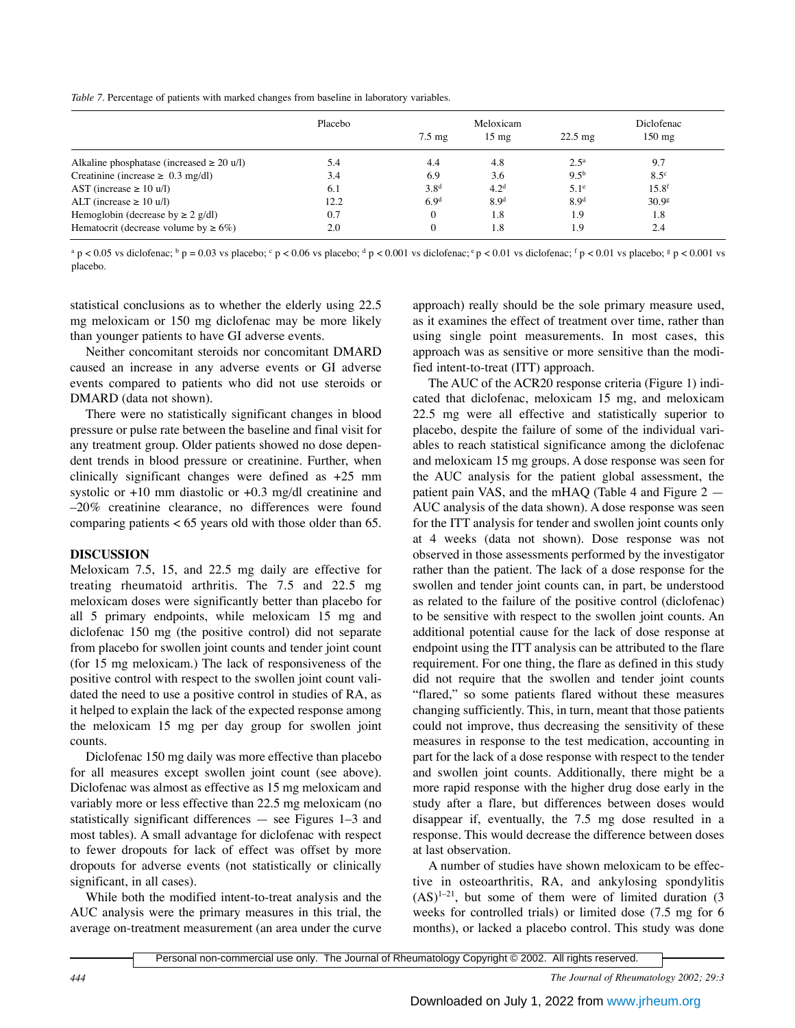*Table 7.* Percentage of patients with marked changes from baseline in laboratory variables.

|                                                | Placebo |                   | Meloxicam        |                   | Diclofenac        |
|------------------------------------------------|---------|-------------------|------------------|-------------------|-------------------|
|                                                |         | $7.5 \text{ m}$ g | $15 \text{ mg}$  | $22.5 \text{ mg}$ | $150 \text{ mg}$  |
| Alkaline phosphatase (increased $\geq 20$ u/l) | 5.4     | 4.4               | 4.8              | 2.5 <sup>a</sup>  | 9.7               |
| Creatinine (increase $\geq 0.3$ mg/dl)         | 3.4     | 6.9               | 3.6              | $9.5^{b}$         | $8.5^\circ$       |
| AST (increase $\geq 10$ u/l)                   | 6.1     | 3.8 <sup>d</sup>  | 4.2 <sup>d</sup> | $5.1^\circ$       | 15.8 <sup>f</sup> |
| ALT (increase $\geq 10$ u/l)                   | 12.2    | 6.9 <sup>d</sup>  | 8.9 <sup>d</sup> | 8.9 <sup>d</sup>  | 30.9 <sup>g</sup> |
| Hemoglobin (decrease by $\geq 2$ g/dl)         | 0.7     |                   | 1.8              | 1.9               | 1.8               |
| Hematocrit (decrease volume by $\geq 6\%$ )    | 2.0     |                   | 1.8              | 1.9               | 2.4               |

 $a$  p < 0.05 vs diclofenac;  $b$  p = 0.03 vs placebo;  $c$  p < 0.06 vs placebo;  $d$  p < 0.001 vs diclofenac;  $c$  p < 0.01 vs diclofenac;  $f$  p < 0.01 vs placebo;  $g$  p < 0.001 vs placebo.

statistical conclusions as to whether the elderly using 22.5 mg meloxicam or 150 mg diclofenac may be more likely than younger patients to have GI adverse events.

Neither concomitant steroids nor concomitant DMARD caused an increase in any adverse events or GI adverse events compared to patients who did not use steroids or DMARD (data not shown).

There were no statistically significant changes in blood pressure or pulse rate between the baseline and final visit for any treatment group. Older patients showed no dose dependent trends in blood pressure or creatinine. Further, when clinically significant changes were defined as +25 mm systolic or  $+10$  mm diastolic or  $+0.3$  mg/dl creatinine and –20% creatinine clearance, no differences were found comparing patients < 65 years old with those older than 65.

## **DISCUSSION**

Meloxicam 7.5, 15, and 22.5 mg daily are effective for treating rheumatoid arthritis. The 7.5 and 22.5 mg meloxicam doses were significantly better than placebo for all 5 primary endpoints, while meloxicam 15 mg and diclofenac 150 mg (the positive control) did not separate from placebo for swollen joint counts and tender joint count (for 15 mg meloxicam.) The lack of responsiveness of the positive control with respect to the swollen joint count validated the need to use a positive control in studies of RA, as it helped to explain the lack of the expected response among the meloxicam 15 mg per day group for swollen joint counts.

Diclofenac 150 mg daily was more effective than placebo for all measures except swollen joint count (see above). Diclofenac was almost as effective as 15 mg meloxicam and variably more or less effective than 22.5 mg meloxicam (no statistically significant differences — see Figures 1–3 and most tables). A small advantage for diclofenac with respect to fewer dropouts for lack of effect was offset by more dropouts for adverse events (not statistically or clinically significant, in all cases).

While both the modified intent-to-treat analysis and the AUC analysis were the primary measures in this trial, the average on-treatment measurement (an area under the curve approach) really should be the sole primary measure used, as it examines the effect of treatment over time, rather than using single point measurements. In most cases, this approach was as sensitive or more sensitive than the modified intent-to-treat (ITT) approach.

The AUC of the ACR20 response criteria (Figure 1) indicated that diclofenac, meloxicam 15 mg, and meloxicam 22.5 mg were all effective and statistically superior to placebo, despite the failure of some of the individual variables to reach statistical significance among the diclofenac and meloxicam 15 mg groups. A dose response was seen for the AUC analysis for the patient global assessment, the patient pain VAS, and the mHAQ (Table 4 and Figure 2 — AUC analysis of the data shown). A dose response was seen for the ITT analysis for tender and swollen joint counts only at 4 weeks (data not shown). Dose response was not observed in those assessments performed by the investigator rather than the patient. The lack of a dose response for the swollen and tender joint counts can, in part, be understood as related to the failure of the positive control (diclofenac) to be sensitive with respect to the swollen joint counts. An additional potential cause for the lack of dose response at endpoint using the ITT analysis can be attributed to the flare requirement. For one thing, the flare as defined in this study did not require that the swollen and tender joint counts "flared," so some patients flared without these measures changing sufficiently. This, in turn, meant that those patients could not improve, thus decreasing the sensitivity of these measures in response to the test medication, accounting in part for the lack of a dose response with respect to the tender and swollen joint counts. Additionally, there might be a more rapid response with the higher drug dose early in the study after a flare, but differences between doses would disappear if, eventually, the 7.5 mg dose resulted in a response. This would decrease the difference between doses at last observation.

A number of studies have shown meloxicam to be effective in osteoarthritis, RA, and ankylosing spondylitis  $(AS)^{1-21}$ , but some of them were of limited duration (3) weeks for controlled trials) or limited dose (7.5 mg for 6 months), or lacked a placebo control. This study was done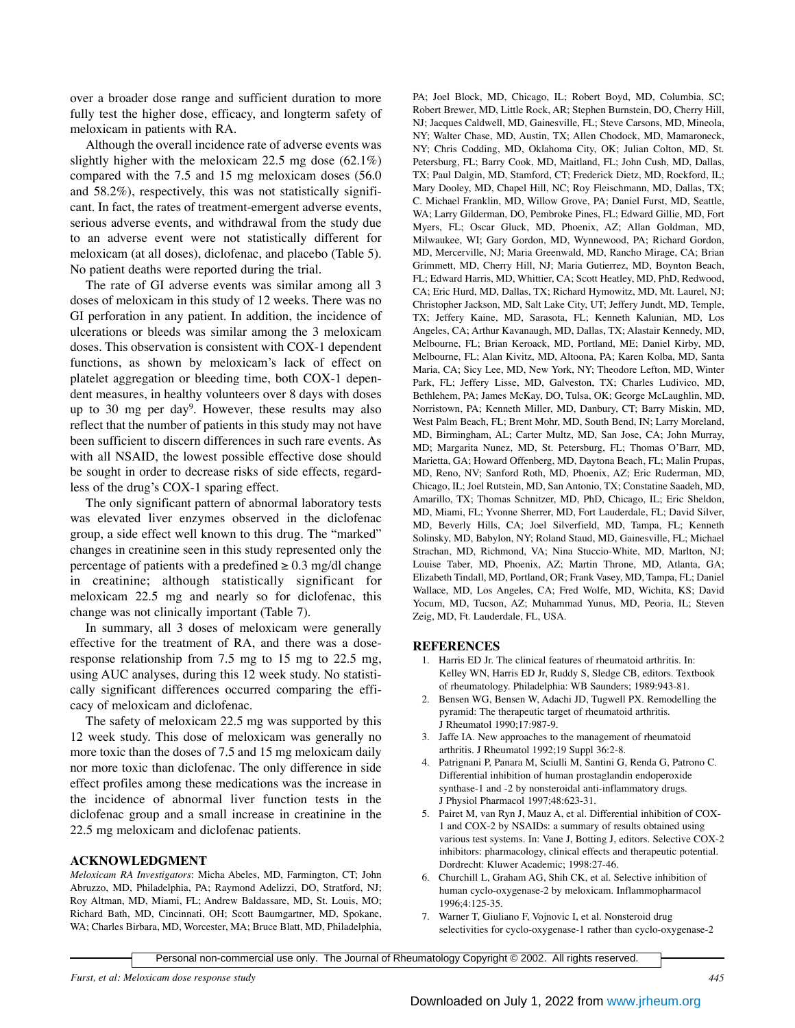over a broader dose range and sufficient duration to more fully test the higher dose, efficacy, and longterm safety of meloxicam in patients with RA.

Although the overall incidence rate of adverse events was slightly higher with the meloxicam 22.5 mg dose (62.1%) compared with the 7.5 and 15 mg meloxicam doses (56.0 and 58.2%), respectively, this was not statistically significant. In fact, the rates of treatment-emergent adverse events, serious adverse events, and withdrawal from the study due to an adverse event were not statistically different for meloxicam (at all doses), diclofenac, and placebo (Table 5). No patient deaths were reported during the trial.

The rate of GI adverse events was similar among all 3 doses of meloxicam in this study of 12 weeks. There was no GI perforation in any patient. In addition, the incidence of ulcerations or bleeds was similar among the 3 meloxicam doses. This observation is consistent with COX-1 dependent functions, as shown by meloxicam's lack of effect on platelet aggregation or bleeding time, both COX-1 dependent measures, in healthy volunteers over 8 days with doses up to 30 mg per day<sup>9</sup>. However, these results may also reflect that the number of patients in this study may not have been sufficient to discern differences in such rare events. As with all NSAID, the lowest possible effective dose should be sought in order to decrease risks of side effects, regardless of the drug's COX-1 sparing effect.

The only significant pattern of abnormal laboratory tests was elevated liver enzymes observed in the diclofenac group, a side effect well known to this drug. The "marked" changes in creatinine seen in this study represented only the percentage of patients with a predefined  $\geq 0.3$  mg/dl change in creatinine; although statistically significant for meloxicam 22.5 mg and nearly so for diclofenac, this change was not clinically important (Table 7).

In summary, all 3 doses of meloxicam were generally effective for the treatment of RA, and there was a doseresponse relationship from 7.5 mg to 15 mg to 22.5 mg, using AUC analyses, during this 12 week study. No statistically significant differences occurred comparing the efficacy of meloxicam and diclofenac.

The safety of meloxicam 22.5 mg was supported by this 12 week study. This dose of meloxicam was generally no more toxic than the doses of 7.5 and 15 mg meloxicam daily nor more toxic than diclofenac. The only difference in side effect profiles among these medications was the increase in the incidence of abnormal liver function tests in the diclofenac group and a small increase in creatinine in the 22.5 mg meloxicam and diclofenac patients.

### **ACKNOWLEDGMENT**

*Meloxicam RA Investigators*: Micha Abeles, MD, Farmington, CT; John Abruzzo, MD, Philadelphia, PA; Raymond Adelizzi, DO, Stratford, NJ; Roy Altman, MD, Miami, FL; Andrew Baldassare, MD, St. Louis, MO; Richard Bath, MD, Cincinnati, OH; Scott Baumgartner, MD, Spokane, WA; Charles Birbara, MD, Worcester, MA; Bruce Blatt, MD, Philadelphia,

PA; Joel Block, MD, Chicago, IL; Robert Boyd, MD, Columbia, SC; Robert Brewer, MD, Little Rock, AR; Stephen Burnstein, DO, Cherry Hill, NJ; Jacques Caldwell, MD, Gainesville, FL; Steve Carsons, MD, Mineola, NY; Walter Chase, MD, Austin, TX; Allen Chodock, MD, Mamaroneck, NY; Chris Codding, MD, Oklahoma City, OK; Julian Colton, MD, St. Petersburg, FL; Barry Cook, MD, Maitland, FL; John Cush, MD, Dallas, TX; Paul Dalgin, MD, Stamford, CT; Frederick Dietz, MD, Rockford, IL; Mary Dooley, MD, Chapel Hill, NC; Roy Fleischmann, MD, Dallas, TX; C. Michael Franklin, MD, Willow Grove, PA; Daniel Furst, MD, Seattle, WA; Larry Gilderman, DO, Pembroke Pines, FL; Edward Gillie, MD, Fort Myers, FL; Oscar Gluck, MD, Phoenix, AZ; Allan Goldman, MD, Milwaukee, WI; Gary Gordon, MD, Wynnewood, PA; Richard Gordon, MD, Mercerville, NJ; Maria Greenwald, MD, Rancho Mirage, CA; Brian Grimmett, MD, Cherry Hill, NJ; Maria Gutierrez, MD, Boynton Beach, FL; Edward Harris, MD, Whittier, CA; Scott Heatley, MD, PhD, Redwood, CA; Eric Hurd, MD, Dallas, TX; Richard Hymowitz, MD, Mt. Laurel, NJ; Christopher Jackson, MD, Salt Lake City, UT; Jeffery Jundt, MD, Temple, TX; Jeffery Kaine, MD, Sarasota, FL; Kenneth Kalunian, MD, Los Angeles, CA; Arthur Kavanaugh, MD, Dallas, TX; Alastair Kennedy, MD, Melbourne, FL; Brian Keroack, MD, Portland, ME; Daniel Kirby, MD, Melbourne, FL; Alan Kivitz, MD, Altoona, PA; Karen Kolba, MD, Santa Maria, CA; Sicy Lee, MD, New York, NY; Theodore Lefton, MD, Winter Park, FL; Jeffery Lisse, MD, Galveston, TX; Charles Ludivico, MD, Bethlehem, PA; James McKay, DO, Tulsa, OK; George McLaughlin, MD, Norristown, PA; Kenneth Miller, MD, Danbury, CT; Barry Miskin, MD, West Palm Beach, FL; Brent Mohr, MD, South Bend, IN; Larry Moreland, MD, Birmingham, AL; Carter Multz, MD, San Jose, CA; John Murray, MD; Margarita Nunez, MD, St. Petersburg, FL; Thomas O'Barr, MD, Marietta, GA; Howard Offenberg, MD, Daytona Beach, FL; Malin Prupas, MD, Reno, NV; Sanford Roth, MD, Phoenix, AZ; Eric Ruderman, MD, Chicago, IL; Joel Rutstein, MD, San Antonio, TX; Constatine Saadeh, MD, Amarillo, TX; Thomas Schnitzer, MD, PhD, Chicago, IL; Eric Sheldon, MD, Miami, FL; Yvonne Sherrer, MD, Fort Lauderdale, FL; David Silver, MD, Beverly Hills, CA; Joel Silverfield, MD, Tampa, FL; Kenneth Solinsky, MD, Babylon, NY; Roland Staud, MD, Gainesville, FL; Michael Strachan, MD, Richmond, VA; Nina Stuccio-White, MD, Marlton, NJ; Louise Taber, MD, Phoenix, AZ; Martin Throne, MD, Atlanta, GA; Elizabeth Tindall, MD, Portland, OR; Frank Vasey, MD, Tampa, FL; Daniel Wallace, MD, Los Angeles, CA; Fred Wolfe, MD, Wichita, KS; David Yocum, MD, Tucson, AZ; Muhammad Yunus, MD, Peoria, IL; Steven Zeig, MD, Ft. Lauderdale, FL, USA.

#### **REFERENCES**

- 1. Harris ED Jr. The clinical features of rheumatoid arthritis. In: Kelley WN, Harris ED Jr, Ruddy S, Sledge CB, editors. Textbook of rheumatology. Philadelphia: WB Saunders; 1989:943-81.
- 2. Bensen WG, Bensen W, Adachi JD, Tugwell PX. Remodelling the pyramid: The therapeutic target of rheumatoid arthritis. J Rheumatol 1990;17:987-9.
- 3. Jaffe IA. New approaches to the management of rheumatoid arthritis. J Rheumatol 1992;19 Suppl 36:2-8.
- 4. Patrignani P, Panara M, Sciulli M, Santini G, Renda G, Patrono C. Differential inhibition of human prostaglandin endoperoxide synthase-1 and -2 by nonsteroidal anti-inflammatory drugs. J Physiol Pharmacol 1997;48:623-31.
- 5. Pairet M, van Ryn J, Mauz A, et al. Differential inhibition of COX-1 and COX-2 by NSAIDs: a summary of results obtained using various test systems. In: Vane J, Botting J, editors. Selective COX-2 inhibitors: pharmacology, clinical effects and therapeutic potential. Dordrecht: Kluwer Academic; 1998:27-46.
- 6. Churchill L, Graham AG, Shih CK, et al. Selective inhibition of human cyclo-oxygenase-2 by meloxicam. Inflammopharmacol 1996;4:125-35.
- 7. Warner T, Giuliano F, Vojnovic I, et al. Nonsteroid drug selectivities for cyclo-oxygenase-1 rather than cyclo-oxygenase-2